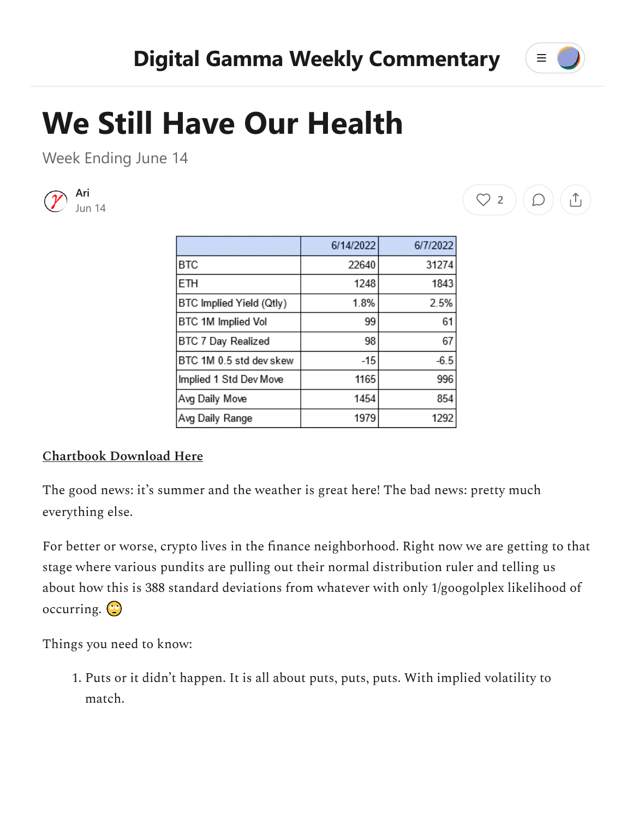

 $\left(\begin{array}{c} \heartsuit & \heartsuit \end{array}\right) \left(\begin{array}{c} \heartsuit \end{array}\right) \left(\begin{array}{c} \heartsuit \end{array}\right)$ 

## **We Still Have Our Health**

Week Ending June 14



|                          | 6/14/2022 | 6/7/2022 |
|--------------------------|-----------|----------|
| <b>BTC</b>               | 22640     | 31274    |
| <b>ETH</b>               | 1248      | 1843     |
| BTC Implied Yield (Qtly) | 1.8%      | 2.5%     |
| BTC 1M Implied Vol       | 99        | 61       |
| BTC 7 Day Realized       | 98        | 67       |
| BTC 1M 0.5 std dev skew  | $-15$     | $-6.5$   |
| Implied 1 Std Dev Move   | 1165      | 996      |
| Avg Daily Move           | 1454      | 854      |
| Avg Daily Range          | 1979      | 1292     |

## **[Chartbook Download Here](https://www.digital-gamma.com/_files/ugd/adc4e1_1f6573521aed4def9c6a36c701937a17.pdf)**

The good news: it's summer and the weather is great here! The bad news: pretty much everything else.

For better or worse, crypto lives in the finance neighborhood. Right now we are getting to that stage where various pundits are pulling out their normal distribution ruler and telling us about how this is 388 standard deviations from whatever with only 1/googolplex likelihood of occurring.  $\circ$ 

Things you need to know:

1. Puts or it didn't happen. It is all about puts, puts, puts. With implied volatility to match.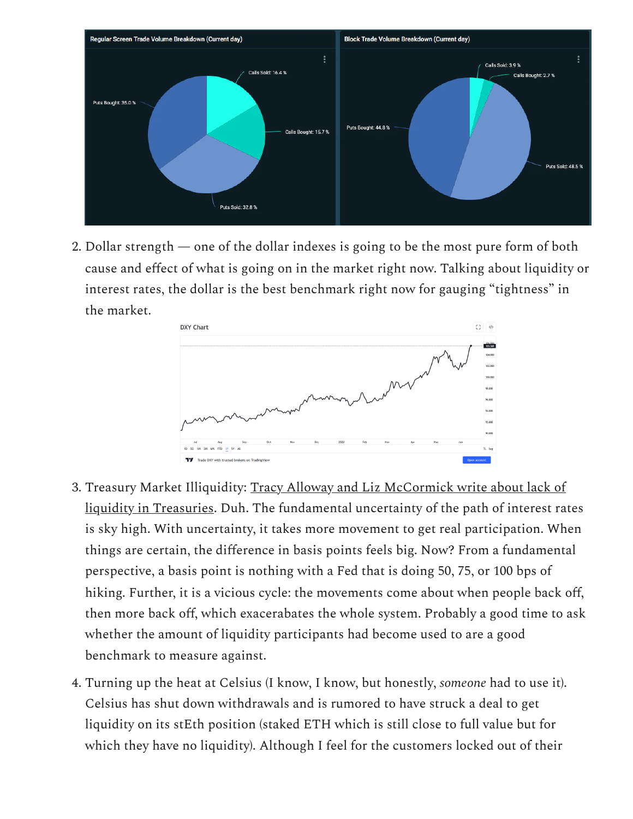

2. Dollar strength — one of the dollar indexes is going to be the most pure form of both cause and effect of what is going on in the market right now. Talking about liquidity or interest rates, the dollar is the best benchmark right now for gauging "tightness" in the market.



- 3. [Treasury Market Illiquidity: Tracy Alloway and Liz McCormick write about lack of](https://www.bloomberg.com/news/articles/2022-06-14/the-world-s-most-important-market-has-a-big-and-repetitive-problem) liquidity in Treasuries. Duh. The fundamental uncertainty of the path of interest rates is sky high. With uncertainty, it takes more movement to get real participation. When things are certain, the difference in basis points feels big. Now? From a fundamental perspective, a basis point is nothing with a Fed that is doing 50, 75, or 100 bps of hiking. Further, it is a vicious cycle: the movements come about when people back off, then more back off, which exacerabates the whole system. Probably a good time to ask whether the amount of liquidity participants had become used to are a good benchmark to measure against.
- 4. Turning up the heat at Celsius (I know, I know, but honestly, *someone* had to use it). Celsius has shut down withdrawals and is rumored to have struck a deal to get liquidity on its stEth position (staked ETH which is still close to full value but for which they have no liquidity). Although I feel for the customers locked out of their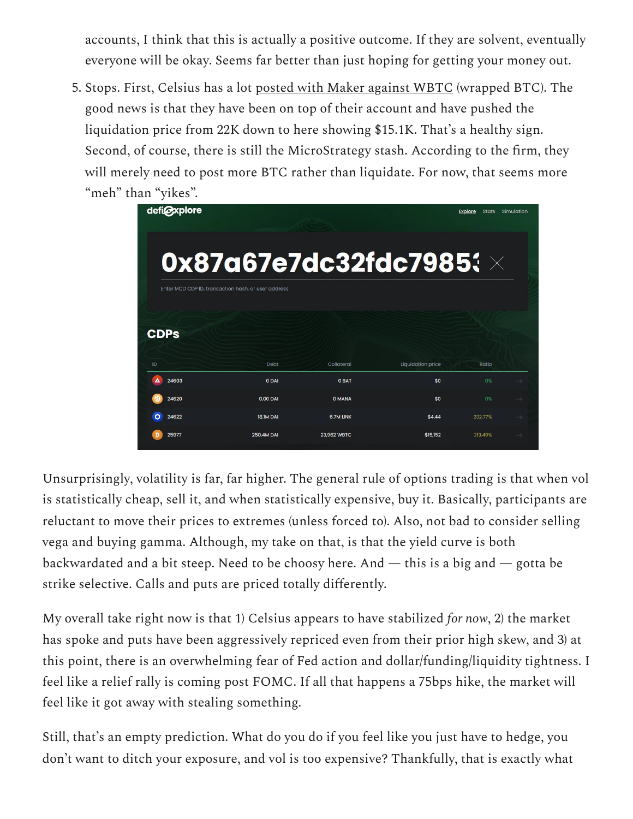accounts, I think that this is actually a positive outcome. If they are solvent, eventually everyone will be okay. Seems far better than just hoping for getting your money out.

5. Stops. First, Celsius has a lot [posted with Maker against WBTC](https://defiexplore.com/address/0x87a67e7dc32fdc79853d780c6f516312b4a503b5) (wrapped BTC). The good news is that they have been on top of their account and have pushed the liquidation price from 22K down to here showing \$15.1K. That's a healthy sign. Second, of course, there is still the MicroStrategy stash. According to the firm, they will merely need to post more BTC rather than liquidate. For now, that seems more "meh" than "yikes".

| defi@xplore             |                                                     |               |                          | Simulation<br><b>Explore</b><br><b>Stats</b> |               |
|-------------------------|-----------------------------------------------------|---------------|--------------------------|----------------------------------------------|---------------|
|                         | 0x87a67e7dc32fdc7985 $\mathbf{3} \times$            |               |                          |                                              |               |
|                         | Enter MCD CDP ID, transaction hash, or user address |               |                          |                                              |               |
| <b>CDPs</b>             |                                                     |               |                          |                                              |               |
|                         | <b>Debt</b>                                         | Collateral    | <b>Liquidation price</b> | Ratio                                        |               |
|                         |                                                     |               |                          |                                              |               |
| Δ<br>24603              | 0 DAI                                               | <b>O BAT</b>  | \$0                      | 0%                                           | $\rightarrow$ |
| 24620                   | 0.00 DAI                                            | <b>O MANA</b> | \$0                      | 0%                                           | $\rightarrow$ |
| ID<br>$\Omega$<br>24622 | 18.1M DAI                                           | 6.7M LINK     | \$4.44                   | 232.77%                                      | $\rightarrow$ |

Unsurprisingly, volatility is far, far higher. The general rule of options trading is that when vol is statistically cheap, sell it, and when statistically expensive, buy it. Basically, participants are reluctant to move their prices to extremes (unless forced to). Also, not bad to consider selling vega and buying gamma. Although, my take on that, is that the yield curve is both backwardated and a bit steep. Need to be choosy here. And  $-$  this is a big and  $-$  gotta be strike selective. Calls and puts are priced totally differently.

My overall take right now is that 1) Celsius appears to have stabilized *for now*, 2) the market has spoke and puts have been aggressively repriced even from their prior high skew, and 3) at this point, there is an overwhelming fear of Fed action and dollar/funding/liquidity tightness. I feel like a relief rally is coming post FOMC. If all that happens a 75bps hike, the market will feel like it got away with stealing something.

Still, that's an empty prediction. What do you do if you feel like you just have to hedge, you don't want to ditch your exposure, and vol is too expensive? Thankfully, that is exactly what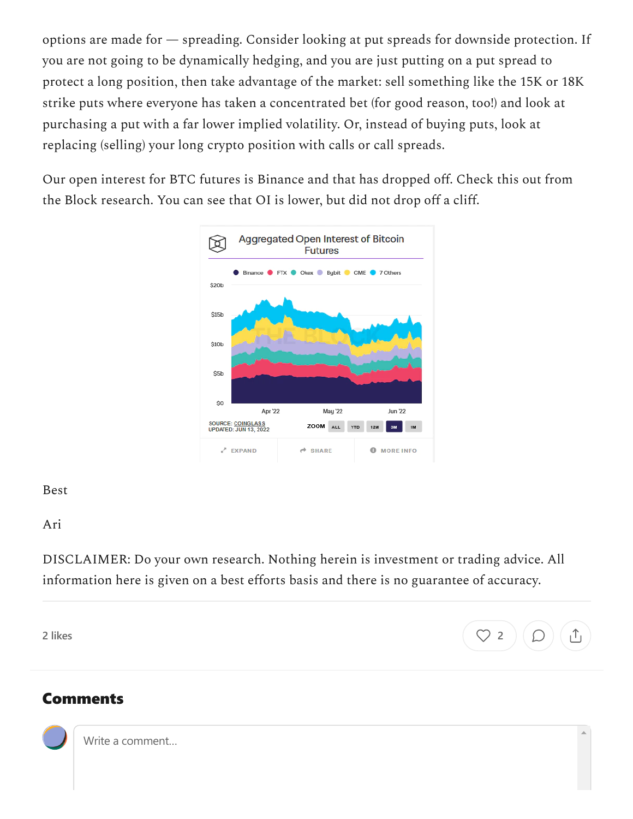options are made for — spreading. Consider looking at put spreads for downside protection. If you are not going to be dynamically hedging, and you are just putting on a put spread to protect a long position, then take advantage of the market: sell something like the 15K or 18K strike puts where everyone has taken a concentrated bet (for good reason, too!) and look at purchasing a put with a far lower implied volatility. Or, instead of buying puts, look at replacing (selling) your long crypto position with calls or call spreads.

Our open interest for BTC futures is Binance and that has dropped off. Check this out from the Block research. You can see that OI is lower, but did not drop off a cliff.



Best

Ari

DISCLAIMER: Do your own research. Nothing herein is investment or trading advice. All information here is given on a best efforts basis and there is no guarantee of accuracy.



## Comments